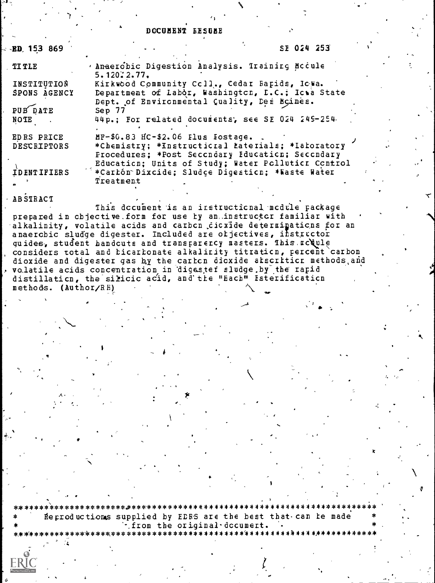#### DOCUMENT BESUME

| $-BD$ , 153 869                 | SE 024 253                                                     |
|---------------------------------|----------------------------------------------------------------|
| <b>TITLE</b>                    | . Anaerobic Digestion Analysis. Training Mccule<br>5.120:2.77. |
| INSTITUTION                     | Kirkwood Community Ccll., Cedar Rapids, Icwa.                  |
| SPONS AGENCY                    | Department of Labor, Washington, D.C.; Icaa State              |
|                                 | Dept. of Environmental Quality, Des Moines.                    |
| PUB DATE                        | Sep 77                                                         |
| NOTE<br>$\sim 100$ km s $^{-1}$ | 44p.; For related documents, see SE 024 249-254.               |
|                                 |                                                                |
| EDRS PRICE                      | $HP-$0.83$ HC-\$2.06 Flus Fostage.                             |
| <b>DESCRIPTORS</b>              | *Chemistry; *Instructicral Materials; *Iaboratory              |
|                                 | Procedures: *Post Secondary Education; Secondary               |
|                                 | Education; Units of Study; Water Polluticr Control             |
| <b>IDENTIFIERS</b>              | *Cartón Dixcide; Sludce Digesticn; *Waste Water                |
|                                 | Treatment                                                      |
|                                 |                                                                |

#### ABSTRACT

This document is an instructional module package prepared in cbjective form for use by an instructor familiar with alkalinity, volatile acids and carbon cicxide determinations for an anaerobic sludge digester. Included are objectives, instructor guides, student handcuts and transparency masters. This mclule considers total and bicarbonate alkalinity titration, percent carbon dioxide and digester gas by the carten dicxide atscriticr methods, and volatile acids concentration in digester sludge by the rapid distillation, the silicic acid, and the "Hach" Esterification methods. (Author/RE)

\*\*\*\*\*\*\*\*\*\*\*\*\*\*\*\*\* Reproductions supplied by EDRS are the best that can be made - from the original dccument.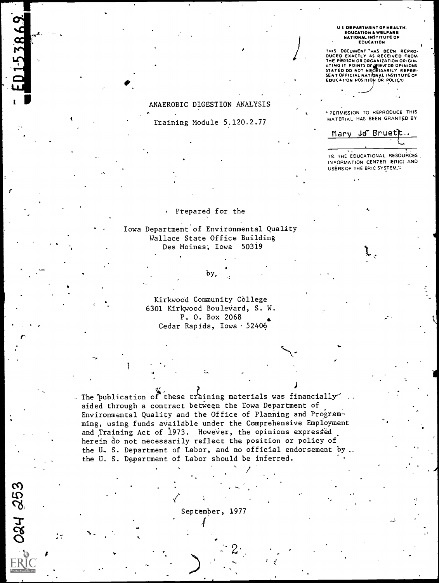#### U S DEPARTMENT OF HEALTH. EDUCATION & WELFARE NATIONAL INSTITUTE OF EDUCATION

THIS DOCUMENT 'HAS BEEN REPRO. OUCED EXACTLY AS RECEIVED FROM THE PERSON OR ORGANIZATION ORIGIN. ATING IT POINTS OF MEW OR OPINIONS<br>STATED DO NOT NECESSARILY REPRE-<br>SENT OFFICIAL NATIONAL INSTITUTE OF<br>EDUCATION POSITION OR POLICY:

## <sup>4</sup> ANAEROBIC DIGESTION ANALYSIS

 $ED1-53869$ 

024 253

Training Module 5.120.2.77

PERMISSION TO REPRODUCE THIS MATERIAL HAS BEEN GRANTED BY

Mary Jo Bruett. TO THE EDUCATIONAL RESOURCES

INFORMATION CENTER (ERIC) AND USERS OF THE ERIC SYSTEM.%

#### Prepared for the

Iowa Department of Environmental Quality Wallace State Office Building Des Moines; Iowa 50319

> Kirkwood Community College 6301 Kirkwood Boulevard, S. W. P. O. Box 2068 Cedar Rapids, Iowa-52406

.4

 $by,$ 

. The publication of these training materials was financially aided through a contract between the Iowa Department of Environmental Quality and the Office of Planning and Programming, using funds available under the Comprehensive Employment and Training Act of 1973. However, the opinions expressed herein do not necessarily reflect the position or policy of the U. S. Department of Labor, and no official endorsement by. the U. S. Department of Labor should be inferred.

September, 1977

 $\mathcal{I}$  . The set of  $\mathcal{I}$ 

\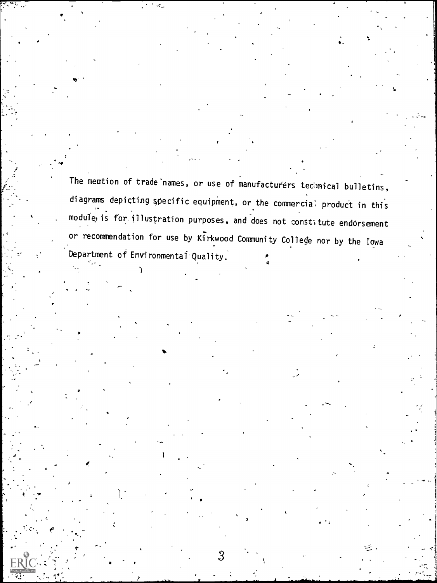The mention of trade names, or use of manufacturers technical bulletins, diagrams depicting specific equipment, or the commercial product in this module, is for illustration purposes, and does not constitute endorsement or recommendation for use by Kirkwood Community College nor by the Iowa Department of Environmental Quality.

ч¢,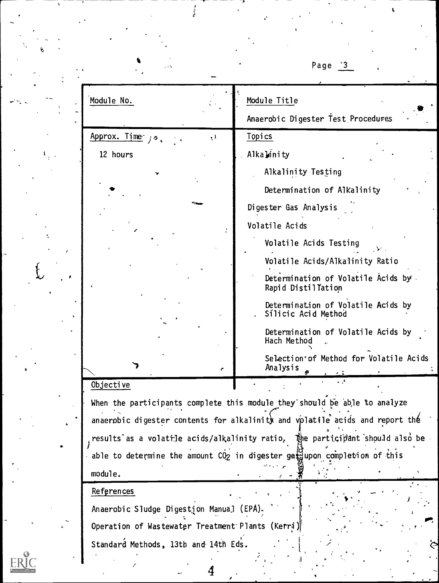Page '3

 $\mathbf{t}$ 

| Module No.                                       | Module Title                                                                                              |
|--------------------------------------------------|-----------------------------------------------------------------------------------------------------------|
|                                                  | Anaerobic Digester Test Procedures                                                                        |
| Approx. Time $\int$ o.<br>$\mathcal{N}$          | Topics                                                                                                    |
| 12 hours                                         | Alkalniity                                                                                                |
|                                                  | Alkalinity Testing                                                                                        |
|                                                  | Determination of Alkalinity                                                                               |
|                                                  | Digester Gas Analysis                                                                                     |
|                                                  | Volatile Acids                                                                                            |
|                                                  | Volatile Acids Testing                                                                                    |
|                                                  | Volatile Acids/Alkalinity Ratio                                                                           |
|                                                  | Determination of Volatile Acids by<br>Rapid Distillation                                                  |
|                                                  | Determination of Volatile Acids by<br>Silicic Acid Method                                                 |
|                                                  | Determination of Volatile Acids by<br>Hach Method                                                         |
|                                                  | Selection of Method for Volatile Acids<br>Analysis                                                        |
| Objective                                        |                                                                                                           |
|                                                  | When the participants complete this module they should be able to analyze                                 |
|                                                  | anaerobic digester contents for alkalinity and volatile acids and report the                              |
|                                                  | , results as a volatile acids/alkalinity ratio. The participant should also be $\cdot$                    |
|                                                  | - able to determine the amount CO <sub>2</sub> in digester ga $\ddot{\mathbf{r}}$ upon completion of this |
| module.                                          |                                                                                                           |
| References                                       |                                                                                                           |
| Anaerobic Sludge Digestion Manual (EPA).         |                                                                                                           |
| Operation of Wastewater Treatment Plants (Kerri) |                                                                                                           |
| Standard Methods, 13th and 14th Eds.             |                                                                                                           |
|                                                  |                                                                                                           |

 $\frac{d}{dt}$ 

4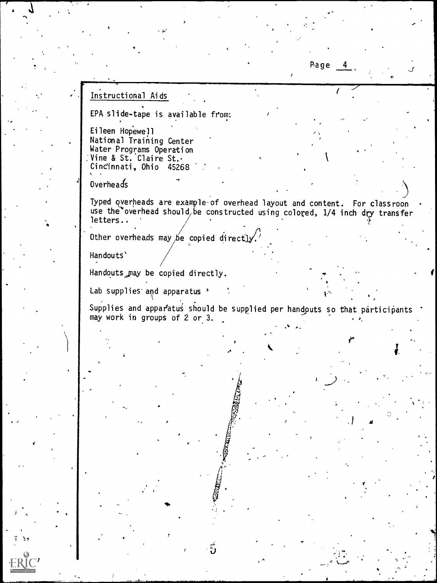$\mathbf{I}$  is a set of  $\mathbf{I}$ 

 $\overline{a}$ 

## Instructional Aids

EPA slide-tape is available from:

Eileen Hopewell National Training Center Water Programs Operation Vine & St. Claire St. Cincinnati, Ohio 45268

## Overheads

Typed pverheads are example.of overhead layout and content. For classroon use the overhead should be constructed using colored, 1/4 inch dry transfer letters..

Other overheads may  $\beta e$  copied directly.

 $\bullet$   $\bullet$   $\bullet$ 

Handouts'

4

Handouts<sub>a</sub>may be copied directly.

Lab supplies and apparatus \*

Supplies and apparatus should be supplied per handouts so that participants may work in groups of 2 or 3.

1**/4** 1/4 1/4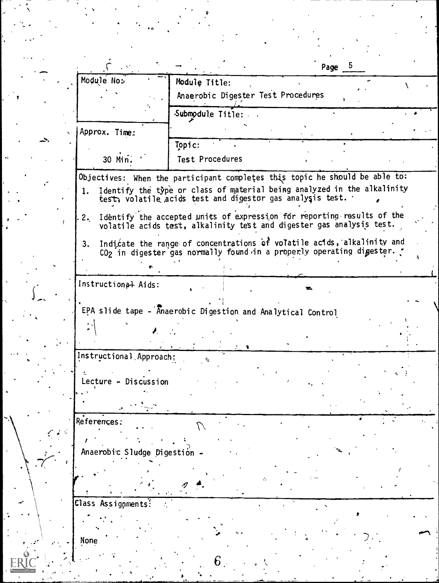| Module No:                   | Module Title:                                                                                                                                                                                                          |   |  |
|------------------------------|------------------------------------------------------------------------------------------------------------------------------------------------------------------------------------------------------------------------|---|--|
|                              | Anaerobic Digester Test Procedures                                                                                                                                                                                     |   |  |
|                              | Submodule Title:                                                                                                                                                                                                       |   |  |
| Approx. Time:                |                                                                                                                                                                                                                        |   |  |
| 30 Min.                      | Topic:<br>Test Procedures                                                                                                                                                                                              |   |  |
|                              |                                                                                                                                                                                                                        |   |  |
|                              | Objectives: When the participant completes this topic he should be able to:<br>1. Identify the type or class of material being analyzed in the alkalinity<br>test, volatile acids test and digestor gas analysis test. |   |  |
| 2.                           | Identify the accepted units of expression for reporting results of the<br>volatile acids test, alkalinity test and digester gas analysis test.                                                                         |   |  |
| 3.                           | Indicate the range of concentrations of volatile acids, alkalinity and<br>CO <sub>2</sub> in digester gas normally found in a properly operating digester.                                                             |   |  |
|                              |                                                                                                                                                                                                                        |   |  |
| Instructional Aids:          |                                                                                                                                                                                                                        |   |  |
| Instructional Approach:      |                                                                                                                                                                                                                        |   |  |
|                              |                                                                                                                                                                                                                        |   |  |
| Lecture - Discussion         |                                                                                                                                                                                                                        |   |  |
|                              |                                                                                                                                                                                                                        |   |  |
| References:                  |                                                                                                                                                                                                                        |   |  |
| Anaerobic Sludge Digestion - |                                                                                                                                                                                                                        |   |  |
|                              |                                                                                                                                                                                                                        |   |  |
|                              |                                                                                                                                                                                                                        | δ |  |
|                              |                                                                                                                                                                                                                        |   |  |
| Class Assignments!           |                                                                                                                                                                                                                        |   |  |

 $\bullet$   $\qquad \qquad \bullet$ 

 $\ddot{\cdot}$ 

ti

t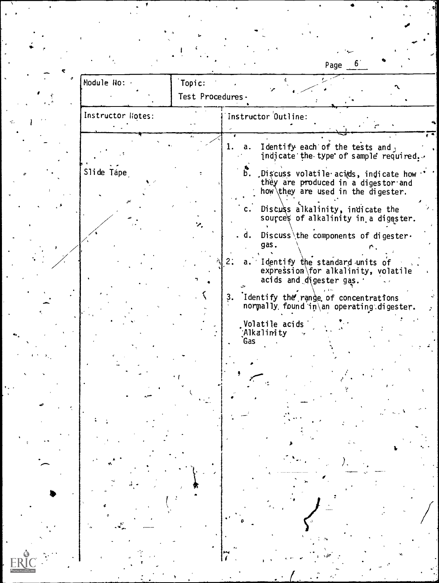|                    |                   | r aye                                                                                                                                 |
|--------------------|-------------------|---------------------------------------------------------------------------------------------------------------------------------------|
| Module No:         | Topic:            |                                                                                                                                       |
|                    | Test Procedures - |                                                                                                                                       |
| Instructor liotes: |                   | Instructor Outline:                                                                                                                   |
|                    |                   |                                                                                                                                       |
|                    |                   |                                                                                                                                       |
|                    |                   | 1.<br>I dentify each of the tests and,<br>a.<br>indicate the type of sample required.                                                 |
| Slide Tape         |                   | $\overline{b}$ .<br>Discuss volatile acids, indicate how<br>they are produced in a digestor and<br>how they are used in the digester. |
| سمو                |                   | Discuss alkalinity, indicate the<br>$\mathsf{c}$ .                                                                                    |
|                    |                   | sources of alkalinity in a digester.                                                                                                  |
|                    |                   | Discuss the components of digester.<br>d.<br>gas.                                                                                     |
|                    |                   |                                                                                                                                       |
|                    |                   | 2:<br>Identify the standard units of<br>a.<br>$exp$ ression $\forall$ for alkalinity, volatile<br>acids and digester gas.             |
|                    |                   |                                                                                                                                       |
|                    |                   | Identify the range of concentrations<br>3.<br>normally found in an operating digester.                                                |
|                    |                   | Volatile acids                                                                                                                        |
|                    |                   | Alkalimity<br>`Gas                                                                                                                    |
|                    |                   |                                                                                                                                       |
|                    |                   |                                                                                                                                       |
|                    |                   |                                                                                                                                       |
|                    |                   |                                                                                                                                       |
|                    |                   |                                                                                                                                       |
|                    |                   |                                                                                                                                       |
|                    |                   |                                                                                                                                       |
|                    |                   |                                                                                                                                       |
|                    |                   |                                                                                                                                       |
|                    |                   |                                                                                                                                       |
|                    |                   |                                                                                                                                       |
|                    |                   |                                                                                                                                       |
|                    |                   |                                                                                                                                       |
|                    |                   |                                                                                                                                       |
|                    |                   |                                                                                                                                       |
|                    |                   |                                                                                                                                       |

E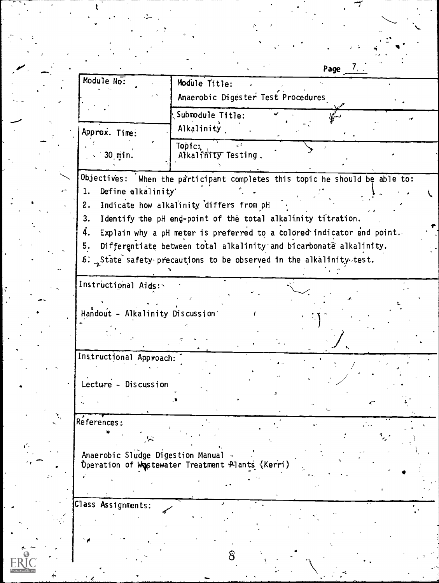|                                                                                         |                                    |                                                                                                                                                                                                                                                                                                                                                                     | Page $\frac{1}{2}$ |  |  |
|-----------------------------------------------------------------------------------------|------------------------------------|---------------------------------------------------------------------------------------------------------------------------------------------------------------------------------------------------------------------------------------------------------------------------------------------------------------------------------------------------------------------|--------------------|--|--|
| Module No:                                                                              | Module Title:                      |                                                                                                                                                                                                                                                                                                                                                                     |                    |  |  |
|                                                                                         | Anaerobic Digester Test Procedures |                                                                                                                                                                                                                                                                                                                                                                     |                    |  |  |
|                                                                                         | Submodule Title:                   | $0$ bjectives: When the participant completes this topic he should be able to:<br>Identify the pH end-point of the total alkalinity titration.<br>Explain why a pH meter is preferred to a colored indicator end point.<br>Differentiate between total alkalinity and bicarbonate alkalinity.<br>6. State safety precautions to be observed in the alkalinity-test. |                    |  |  |
| Approx. Time:                                                                           | Alkalinity                         |                                                                                                                                                                                                                                                                                                                                                                     |                    |  |  |
| $30$ min.                                                                               | Topic:<br>Alkalinity Testing.      |                                                                                                                                                                                                                                                                                                                                                                     |                    |  |  |
|                                                                                         |                                    |                                                                                                                                                                                                                                                                                                                                                                     |                    |  |  |
| Define alkalinity<br>ı.                                                                 |                                    |                                                                                                                                                                                                                                                                                                                                                                     |                    |  |  |
| Indicate how alkalinity differs from pH<br>2.                                           |                                    |                                                                                                                                                                                                                                                                                                                                                                     |                    |  |  |
| 3.                                                                                      |                                    |                                                                                                                                                                                                                                                                                                                                                                     |                    |  |  |
| 4.                                                                                      |                                    |                                                                                                                                                                                                                                                                                                                                                                     |                    |  |  |
| 5.                                                                                      |                                    |                                                                                                                                                                                                                                                                                                                                                                     |                    |  |  |
|                                                                                         |                                    |                                                                                                                                                                                                                                                                                                                                                                     |                    |  |  |
|                                                                                         |                                    |                                                                                                                                                                                                                                                                                                                                                                     |                    |  |  |
| Instructional Aids:                                                                     |                                    |                                                                                                                                                                                                                                                                                                                                                                     |                    |  |  |
|                                                                                         |                                    |                                                                                                                                                                                                                                                                                                                                                                     |                    |  |  |
| Handout - Alkalinity Discussion                                                         |                                    |                                                                                                                                                                                                                                                                                                                                                                     |                    |  |  |
|                                                                                         |                                    |                                                                                                                                                                                                                                                                                                                                                                     |                    |  |  |
|                                                                                         |                                    |                                                                                                                                                                                                                                                                                                                                                                     |                    |  |  |
| Instructional Approach:                                                                 |                                    |                                                                                                                                                                                                                                                                                                                                                                     |                    |  |  |
|                                                                                         |                                    |                                                                                                                                                                                                                                                                                                                                                                     |                    |  |  |
| Lecture - Discussion                                                                    |                                    |                                                                                                                                                                                                                                                                                                                                                                     |                    |  |  |
|                                                                                         |                                    |                                                                                                                                                                                                                                                                                                                                                                     |                    |  |  |
|                                                                                         |                                    |                                                                                                                                                                                                                                                                                                                                                                     |                    |  |  |
| References:                                                                             |                                    |                                                                                                                                                                                                                                                                                                                                                                     |                    |  |  |
|                                                                                         |                                    |                                                                                                                                                                                                                                                                                                                                                                     |                    |  |  |
|                                                                                         |                                    |                                                                                                                                                                                                                                                                                                                                                                     |                    |  |  |
|                                                                                         |                                    |                                                                                                                                                                                                                                                                                                                                                                     |                    |  |  |
| Anaerobic Sludge Digestion Manual .<br>Operation of Wastewater Treatment Plants (Kerri) |                                    |                                                                                                                                                                                                                                                                                                                                                                     |                    |  |  |
|                                                                                         |                                    |                                                                                                                                                                                                                                                                                                                                                                     |                    |  |  |
|                                                                                         |                                    |                                                                                                                                                                                                                                                                                                                                                                     |                    |  |  |
| Class Assignments:                                                                      |                                    |                                                                                                                                                                                                                                                                                                                                                                     |                    |  |  |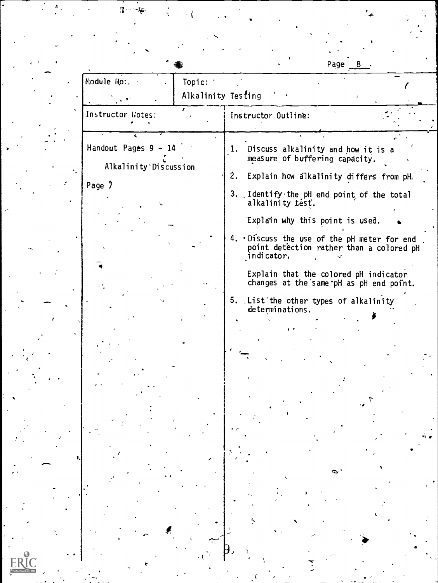|                                               |                              | raye<br>$\circ$                                                                                      |
|-----------------------------------------------|------------------------------|------------------------------------------------------------------------------------------------------|
| Module Not.                                   | Topic:<br>Alkalinity Testing |                                                                                                      |
| Instructor liotes:                            |                              | Instructor Outline:                                                                                  |
| Handout Pages 9 - 14<br>Alkalinity Discussion |                              | 1.<br>Discuss alkalinity and how it is a<br>measure of buffering capacity.                           |
|                                               |                              | 2.<br>Explain how alkalinity differs from pH.                                                        |
| Page 7                                        |                              | 3. Identify the pH end point of the total<br>alkalinity tést.                                        |
|                                               |                              | Explain why this point is used.                                                                      |
|                                               |                              | 4. Discuss the use of the pH meter for end<br>point detection rather than a colored pH<br>indicator. |
|                                               |                              | Explain that the colored pH indicator<br>changes at the same pH as pH end point.                     |
|                                               |                              | 5. List the other types of alkalinity<br>determinations.                                             |
|                                               |                              |                                                                                                      |
|                                               |                              |                                                                                                      |
|                                               |                              |                                                                                                      |
|                                               |                              |                                                                                                      |
|                                               |                              |                                                                                                      |
|                                               |                              |                                                                                                      |
|                                               |                              |                                                                                                      |
|                                               |                              |                                                                                                      |

 $\tilde{\cdot}$ 

 $\frac{16}{16}$  –  $\frac{1}{2}$ 

 $\frac{1}{2}$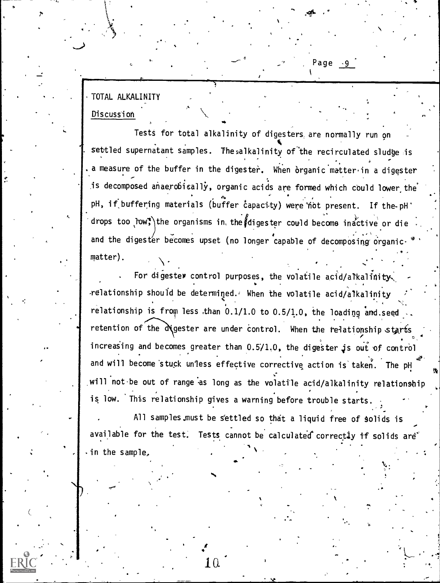Page -9

 $\mathbf{r}$ 

4:

## TOTAL ALKALINITY

Discussion

"P.

Tests for total alkalinity of digesters are normally run on settled supernatant samples. The alkalinity of the recirculated sludge is a measure of the buffer in the digester. When organic matter in a digester is decomposed anaerobically, organic acids are formed which could lower the pH, if buffering materials (buffer capacity) were not present. If the-pH' drops too low; the organisms in the digester could become inactive or die and the digester becomes upset (no longer capable of decomposing organic e matter).

For digester control purposes, the volatile acid/alkalinity. relationship should be determined. When the volatile acid/alkalinity  $\sim$ relationship is from less than  $0.1/1.0$  to  $0.5/1.0$ , the loading and.seed retention of the digester are under control. When the relationship starts increasing and becomes greater than  $0.5/1.0$ , the digester is out of control and will become stuck unless effective corrective action is taken. The pH will not be out of range as long as the volatile acid/alkalinity relationship is low. This relationship gives a warning before trouble starts.

All samples must be settled so that a liquid free of solids is to. available for the test. Tests cannot be calculated correctly if solids are in the sample,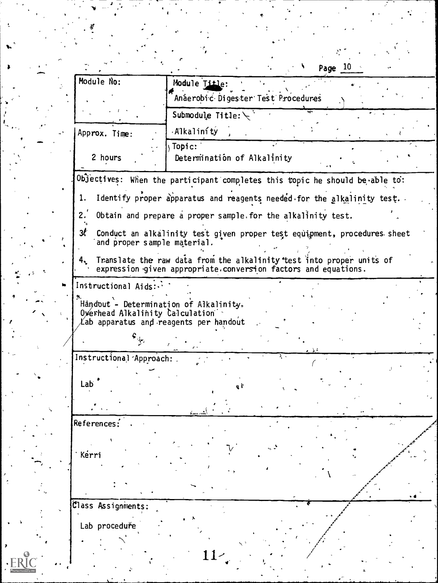|                                 | Page $10$                                                                                                                                 |
|---------------------------------|-------------------------------------------------------------------------------------------------------------------------------------------|
| Module No:                      | Module Title:                                                                                                                             |
|                                 | Anåerobic Digester Test Procedures                                                                                                        |
|                                 | Submodule Title: $\setminus$                                                                                                              |
| Approx. Time:                   | ·Alkaliníty                                                                                                                               |
| 2 hours                         | Topic:<br>Determination of Alkalinity                                                                                                     |
|                                 | Objectives: When the participant completes this topic he should be able to:                                                               |
| 1.                              | Identify proper apparatus and reagents needed for the alkalinity test.                                                                    |
| 2.'                             | Obtain and prepare a proper sample for the alkalinity test.                                                                               |
| 3 <sup>k</sup>                  | Conduct an alkalinity test given proper test equipment, procedures sheet                                                                  |
| and proper sample material.     |                                                                                                                                           |
|                                 | 4. Translate the raw data from the alkalinity test into proper units of<br>expression given appropriate conversion factors and equations. |
| Instructional Aids:             |                                                                                                                                           |
| Overhead Alkalinity Calculation | Hándout - Determination of Alkalinity.<br>Lab apparatus and reagents per handout                                                          |
|                                 |                                                                                                                                           |
| Instructional Approach:         | ٩x                                                                                                                                        |
| Lab                             |                                                                                                                                           |
|                                 |                                                                                                                                           |
| References:                     |                                                                                                                                           |
|                                 |                                                                                                                                           |
| Kérri                           |                                                                                                                                           |
|                                 |                                                                                                                                           |
|                                 |                                                                                                                                           |
| Class Assignments:              |                                                                                                                                           |
| Lab proceduře                   |                                                                                                                                           |
|                                 |                                                                                                                                           |

 $\ddot{\varepsilon}$ 

ERIC

 $\hat{\mathcal{A}}_k$ 

 $\hat{\psi}$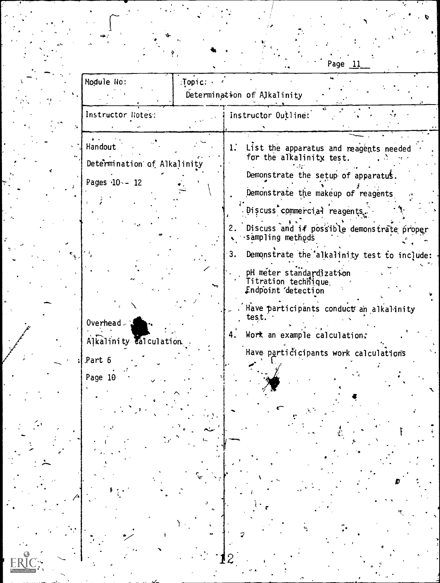| Module No:                             | $:$ Topic: $\cdot$ |    |                                                                           |
|----------------------------------------|--------------------|----|---------------------------------------------------------------------------|
|                                        |                    |    | Determination of Alkalinity                                               |
| Instructor Notes:                      |                    |    | Instructor Outline:                                                       |
| Handout<br>Determination of Alkalinity |                    |    | 1. List the apparatus and reagents needed<br>for the alkalinity test.     |
| Pages .10 - 12                         |                    |    | Demonstrate the setup of apparatus.<br>Demonstrate the makeup of reagents |
|                                        |                    |    | .Discuss commercial reagents.                                             |
|                                        |                    | 2. | Discuss and if possible demonstrate proper<br>sampling methods            |
|                                        |                    | 3. | Demonstrate the alkalinity test to include:                               |
|                                        |                    |    | pH meter standardization<br>Titration technique,<br>Endpoint detection    |
| Overhead.                              |                    |    | Have participants conduct an alkalinity<br>tes.t.                         |
| Alkalinity calculation.                |                    |    | 4. Work an example calculation:                                           |
| Part 6                                 |                    |    | Have particicipants work calculations                                     |
| Page 10                                |                    |    |                                                                           |
|                                        |                    |    |                                                                           |
|                                        |                    |    |                                                                           |
|                                        |                    |    |                                                                           |
|                                        |                    |    |                                                                           |
|                                        |                    |    |                                                                           |
|                                        |                    |    |                                                                           |

age  $11$ 

 $\frac{1}{2}$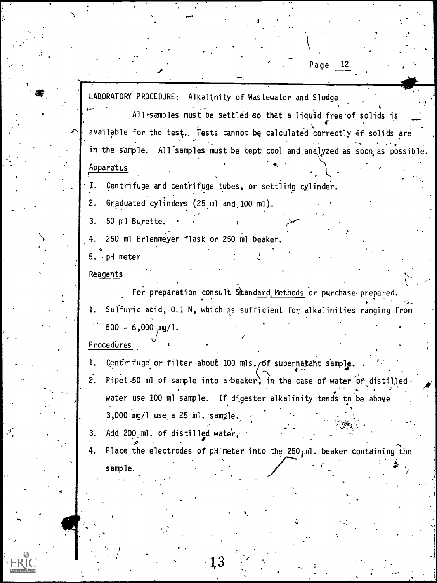LABORATORY' PROCEDURE: Alkalinity of Wastewater and Sludge All samples must be settled so that a liquid free of solids is available for the test. Tests cannot be calculated correctly if solids are in the s'ample. All samples must be kept cool and analyzed as soon, as possible. Apparatus - I. Centrifuge and centrifuge tubes, or settling cylinder. 2. Graduated cylinders (25 ml and 100 ml). 3. 50 ml Burette. 4. 250 ml Erlenmeyer flask or 250 ml beaker. 5. pH meter Reagents For preparation consult Standard Methods or purchase prepared. 1. Sulfuric acid, 0.1 N, which is sufficient for alkalinities ranging from  $500 - 6,000$ , mg/1. Procedures 1. Centrifuge or filter about 100 mls. of supernatant sample. 2. Pipet 50 ml of sample into a beaker, in the case of water or distilled water use 100 ml sample. If digester alkalinity tends to be above 3,000 mg/1 use a 25 ml. sample., 3. Add 200 ml. of distilled water, 4. Place the electrodes of pH meter into the  $250$ <sub>S</sub>ml. beaker containing the sample.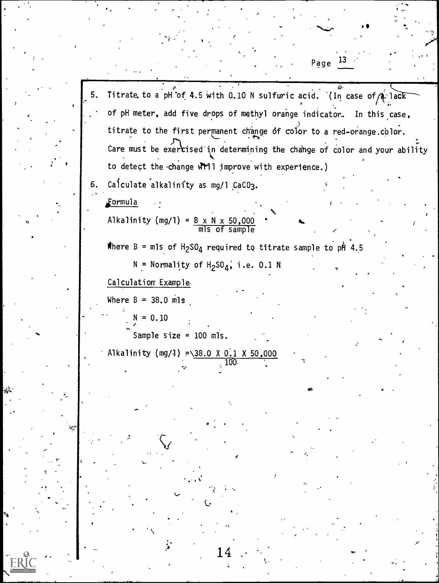Page <sup>13</sup> . 7 - . Titrate, to a pH of 4.5 with 0.10 N sulfuric acid. (In case of  $\lambda$  lack  $\sim$ of pH meter, add five drops of methyl orange indicator. In this case, titrate to the first permanent change of color to a red-orange.color. Care must be exercised in determining the change of color and your ability to detect the change WH11 improve with experience.) Calculate alkalinity as mg/l CaCO3. 6. iFormula Alkalinity (mg/l) = <u>B x N x 50,000</u> a.e. mls of sample Where  $B = mls$  of  $H_2SO_4$  required to titrate sample to pH 4.5  $N =$  Normality of  $H_2SO_4$ , i.e. 0.1 N Calculation' Example-Where  $B = 38.0$  mls  $N = 0.10$ Sample size = 100 mls. Alkalinity (mg/1)  $\mp$  38.0 X 0.1 X 50,000 100

r

a.

/

 $\mathcal{L}_{\mathcal{A}}$  and  $\mathcal{L}_{\mathcal{A}}$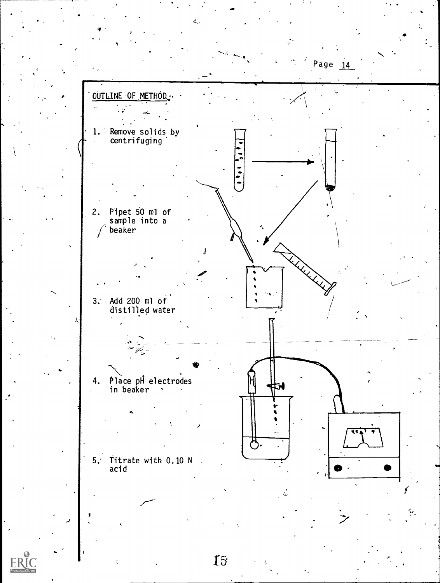

ERIC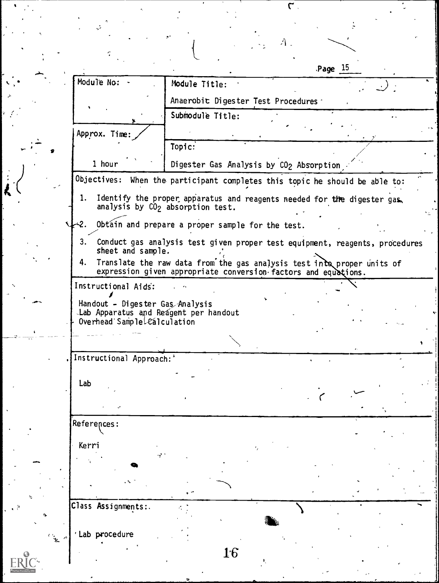,Page 15 Module No: - Module Title:  $\cdot$  . Anaerobic Digester Test Procedures. Submodule Title: . , y Approx. Time:\_,/ . , 1 hour Topic: / Digester Gas Analysis by CO<sub>2</sub> Absorption Objectives: When the participant completes this topic he should be able to: 1. Identify the proper apparatus and reagents needed for the digester gas,  $\vert$ analysis by CO2 absorption test.  $\sim$ 2. Obtain and prepare a proper sample for the test.  $\mathcal{L}$  . The set of  $\mathcal{L}$ 3. Conduct gas analysis test given proper test equipment, reagents, procedures ( sheet and sample. 4. Translate the raw data from the gas analysis test inte proper units of expression given appropriate conversion factors and equations. Instructional Aids: **i** in the set of  $\mathcal{I}$ .  $\mathbf{v}$  , where  $\mathbf{v}$ Handout - Digester Gas,-Analysis Lab Apparatus and Reagent per handout Overhead Sample Ealculation ,.I Instructional Approach:' . . .  $\Box$ . The set of the set of the set of the set of the set of the set of the set of the set of the set of the set of the set of the set of the set of the set of the set of the set of the set of the set of the set of the set of . . References:  $\bullet$  . The set of the set of the set of the set of the set of the set of the set of the set of the set of the set of the set of the set of the set of the set of the set of the set of the set of the set of the set of the s Kerri , , , . . The contract of the contract of the contract of the contract of the contract of the contract of the contract of the contract of the contract of the contract of the contract of the contract of the contract of the contrac **101** , . . . The contract of the contract of  $\mathcal{N}$  is a contract of the contract of the contract of the contract of the contract of the contract of the contract of the contract of the contract of the contract of the contract of t  $\mathbf{z}$  , and the set of the set of the set of the set of the set of the set of the set of the set of the set of the set of the set of the set of the set of the set of the set of the set of the set of the set of the set . . Class Assignments: . . . . . 'Lab procedure . . . The set of  $\mathbf{1}$  is  $\mathbf{1}$  is  $\mathbf{1}$  is  $\mathbf{1}$  is  $\mathbf{1}$  is  $\mathbf{1}$  is  $\mathbf{1}$  is  $\mathbf{1}$  is  $\mathbf{1}$  is  $\mathbf{1}$  is  $\mathbf{1}$  is  $\mathbf{1}$  is  $\mathbf{1}$  is  $\mathbf{1}$  is  $\mathbf{1}$  is  $\mathbf{1}$  is  $\mathbf{1}$  is  $\mathbf$ 

 $\mathfrak{r}$  .

 $A_{\perp}$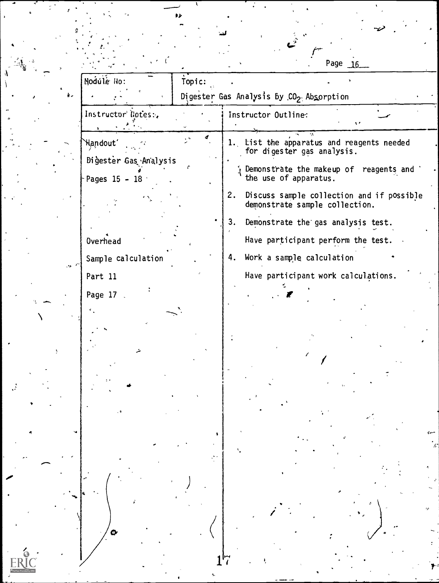|                                        |                 | Page $16$                                                                         |  |
|----------------------------------------|-----------------|-----------------------------------------------------------------------------------|--|
| Module No:                             | Topic:          |                                                                                   |  |
|                                        |                 | Digester Gas Analysis by $CO_{22}$ Absorption                                     |  |
| Instructor liotes:                     |                 | Instructor Outline:                                                               |  |
| <b>``Nandout</b>                       | 4<br>$\sqrt{6}$ | 1. List the apparatus and reagents needed<br>for digester gas analysis.           |  |
| Digester Gas Analysis<br>Pages 15 - 18 |                 | Demonstrate the makeup of reagents and<br>the use of apparatus.                   |  |
|                                        |                 | 2.<br>Discuss sample collection and if possible<br>demonstrate sample collection. |  |
|                                        |                 | 3.<br>Demonstrate the gas analysis test.                                          |  |
| Overhead                               |                 | Have participant perform the test.                                                |  |
| Sample calculation                     |                 | Work a sample calculation<br>4.                                                   |  |
| Part 11                                |                 | Have participant work calculations.                                               |  |
| Page 17                                |                 |                                                                                   |  |
|                                        |                 |                                                                                   |  |
|                                        |                 |                                                                                   |  |
|                                        |                 |                                                                                   |  |
|                                        |                 |                                                                                   |  |
|                                        |                 |                                                                                   |  |
|                                        |                 |                                                                                   |  |
|                                        |                 |                                                                                   |  |
|                                        |                 |                                                                                   |  |
|                                        |                 |                                                                                   |  |
|                                        |                 |                                                                                   |  |
|                                        |                 |                                                                                   |  |
|                                        |                 |                                                                                   |  |
|                                        |                 |                                                                                   |  |
|                                        |                 |                                                                                   |  |

.

ER 1979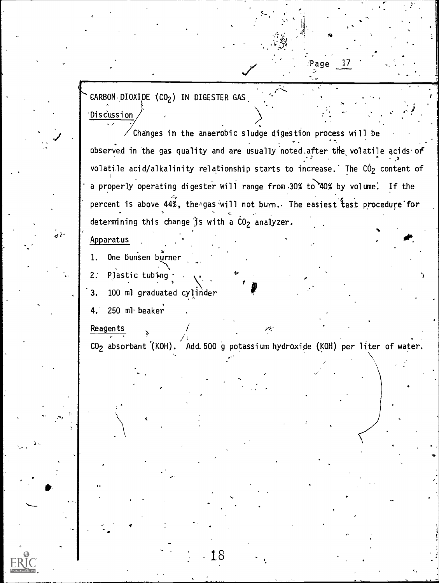$\mathbf{S}$ ,  $\mathbf{S}$ ,  $\mathbf{S}$ 

-\*

.

# $C$ ARBON DIOXIDE  $(CO<sub>2</sub>)$  in Digester GAS

 $\sqrt{2}$ Changes in the anaerobic sludge digestion process will be observed in the gas quality and are usually noted after the volatile acids of volatile acid/alkalinity relationship starts to increase. The CO<sub>2</sub> content of a properly operating digester will range from 30% to 40% by volume. If the percent is above  $44\%$ , the gas will not burn. The easiest test procedure for determining this change is with a  $CO<sub>2</sub>$  analyzer.

## Apparatus

'Discussion

\*

.<br>a i "

1. One bunsen burner

2. Plastic tubing

3. 100 ml graduated cylinder

 $\mathbf{r}$  , and the set of  $\mathbf{r}$  ,  $\mathbf{r}$  ,  $\mathbf{r}$ 

4: 250 ml- beaker:

Reagents

0

 $\sqrt{2}$  ,  $\frac{1}{2}$  ,  $\frac{1}{2}$ CO<sub>2</sub> absorbant (KOH). Add 500 g potassium hydroxide (KOH) per liter of water. |

. The contract of the contract of the contract of the contract of  $\mathcal{N}$  , where  $\mathcal{N}$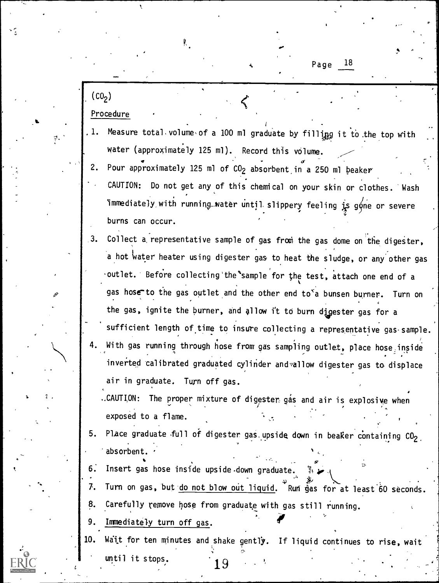ar i

0.0

 $(C_2)$ Procedure

.1. Measure total volume of a 100 ml graduate by filling it to the top with Water (approximately 125 ml). Record this volume.

a 2. Pour approximately 125 ml of CO2 absorbent,in a 250 ml beaker' CAUTION: Do not get any of this chemical on your skin or clothes. Wash immediately with running water until slippery feeling is gone or severe burns can occur.

- 3. Collect a representative sample of gas from the gas dome on the digester, a hot water heater using digester gas to heat the sludge, or any other gas outlet. Before collecting the sample for the test, attach one end of a gas hose to the gas outlet and the other end to<sup>x</sup>a bunsen burner. Turn on the gas, ignite the burner, and allow it to burn digester gas for a sufficient length of time to insure collecting a representative gas sample. 4. With gas running through hose from gas sampling outlet, place hose inside inverted calibrated graduated cylinder and allow digester gas to displace
	- .. CAUTION: The proper mixture of digester gas and air is explosive when exposed to a flame.
- 5. Place graduate full of digester gas. upside down in beaker containing  $CO_{2}$ . absorbent.

6. Insert gas hose inside upside down graduate.

air in graduate. Turn off gas.

7. Turn on gas, but do not blow out liquid. Run gas for at least 60 seconds. 8. Carefully remove hose from graduate with gas still running.

9. Immediately turn off gas.

- 10. Wait for ten minutes and shake gently. If liquid continues to rise, wait
	- until it stops.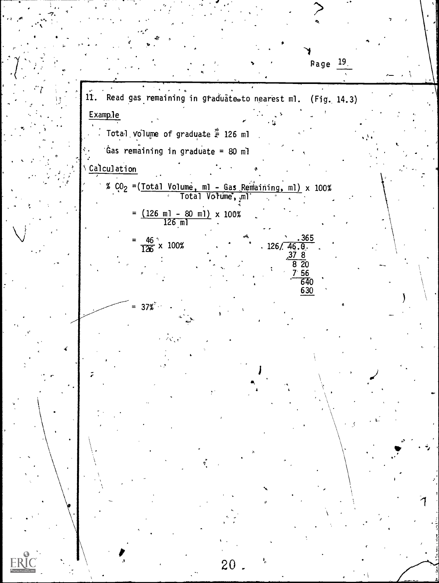Page  $19$ 11. Read gas remaining in graduatesto nearest ml. (Fig. 14.3) Example Total volume of graduate # 126 ml Gas remaining in graduate = 80 ml Calculation  $\%$  CO<sub>2</sub> = (<u>Total Volume, ml - Gas Remaining, ml)</u> x 100%  $=\frac{(126 \text{ m1} - 80 \text{ m1})}{126 \text{ m1}} \times 100\%$ .365  $=\frac{46}{126}$  x 100%  $. 126 / 46.0.$ <br> $.37 8$  $\overline{8}$   $\overline{2}0$ 56  $\overline{640}$ 630  $37\%$  $20$ .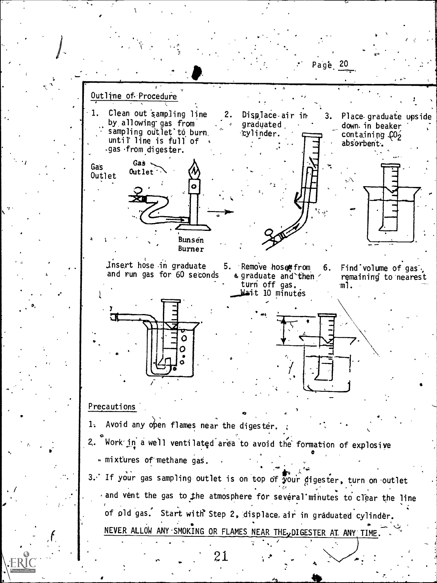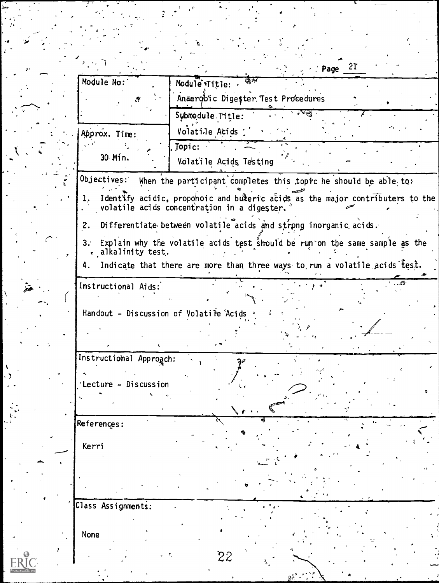|                                                                          | $\therefore$ Page                                                                                                                         |
|--------------------------------------------------------------------------|-------------------------------------------------------------------------------------------------------------------------------------------|
| Module No:                                                               | ে চৰ<br>Module Title:                                                                                                                     |
|                                                                          | Anaerobic Digester Test Procedures                                                                                                        |
|                                                                          | Sybmodule Title:                                                                                                                          |
| Approx. Time:                                                            | Volatile Acids                                                                                                                            |
|                                                                          | Jopic:                                                                                                                                    |
| $30$ -Min.                                                               | Volatile Acids Testing                                                                                                                    |
| Objectives:                                                              | When the participant completes this topic he should be able to:                                                                           |
| ı.                                                                       | Identify acidic, proponoic and buteric acids as the major contributers to the<br>volatile acids concentration in a digester. <sup>3</sup> |
| 2.                                                                       | Differentiate between volatile acids and strong inorganic acids.                                                                          |
| 3.                                                                       | Explain why the volatile acids test should be run on the same sample as the                                                               |
| alkalinity test.                                                         |                                                                                                                                           |
| 4.                                                                       | Indicate that there are more than three ways to run a volatile acids test.                                                                |
|                                                                          | . . O                                                                                                                                     |
| Handout - Discussion of Volatife Acids                                   |                                                                                                                                           |
|                                                                          |                                                                                                                                           |
|                                                                          |                                                                                                                                           |
| Instructional Aids:<br>Instructional Approach:<br>$Lecture - Discussion$ |                                                                                                                                           |
|                                                                          |                                                                                                                                           |
|                                                                          |                                                                                                                                           |
|                                                                          |                                                                                                                                           |
| References:<br>Kerri                                                     |                                                                                                                                           |
|                                                                          |                                                                                                                                           |
|                                                                          |                                                                                                                                           |
|                                                                          |                                                                                                                                           |
| Class Assignments:                                                       |                                                                                                                                           |
|                                                                          |                                                                                                                                           |
| None                                                                     |                                                                                                                                           |

 $\mathbf{I}$ 

ERIC

 $rac{1}{4}$ 

 $\frac{1}{2}$ 

 $\frac{a}{b}$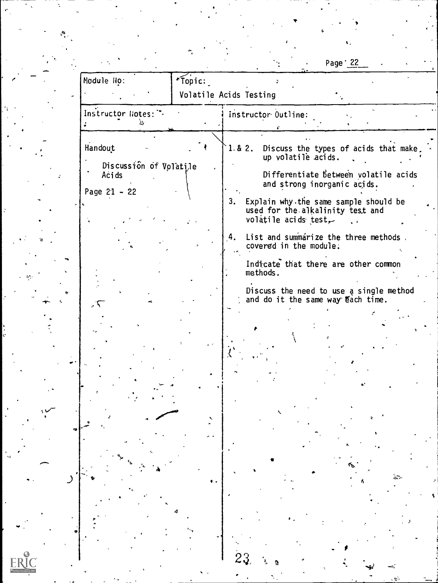Page' 22

e:.

| Module No:                                 | *Topic:                                                                                                                                |  |
|--------------------------------------------|----------------------------------------------------------------------------------------------------------------------------------------|--|
|                                            | Volatile Acids Testing                                                                                                                 |  |
| Instructor Hotes:"<br>$\mathcal{P}$        | instructor Outline:                                                                                                                    |  |
| Handout<br>Discussion of Volatile<br>Acids | 1.82.<br>Discuss the types of acids that make,<br>up volatile acids.<br>Differentiate between volatile acids                           |  |
| Page $21 - 22$                             | and strong inorganic acids.<br>Explain why the same sample should be<br>3.<br>used for the alkalinity test and<br>volatile acids test, |  |
|                                            | List and summarize the three methods.<br>4.<br>covered in the module:                                                                  |  |
|                                            | Indicate that there are other common<br>methods.                                                                                       |  |
| $\cdot$ $\varsigma$                        | Discuss the need to use a single method<br>and do it the same way Each time.                                                           |  |
|                                            |                                                                                                                                        |  |
|                                            |                                                                                                                                        |  |
|                                            |                                                                                                                                        |  |
|                                            |                                                                                                                                        |  |

 $\ddot{\phantom{a}}$ 

ER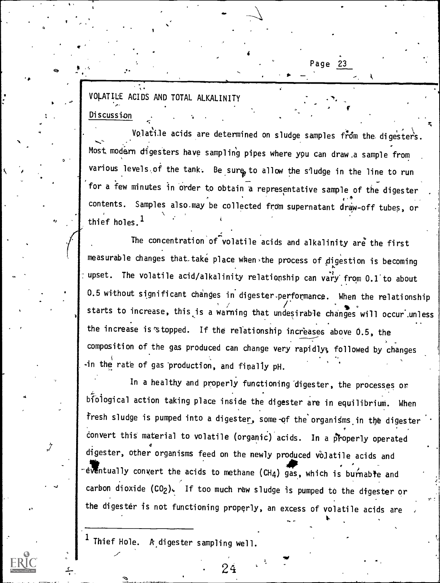$\sim$ 

- March 1999 VOLATILE ACIDS AND TOTAL ALKALINITY Discussion

of,

 $\overline{\phantom{a}}$ 

Volatile acids are determined on sludge samples from the digester's Most modern digesters have sampling pipes where you can draw a sample from various levels of the tank. Be sure to allow the sludge in the line to run for a few minutes in order to obtain a representative sample of the digester  $\bullet$  and  $\bullet$ contents. Samples also may be collected from supernatant draw-off tubes, or  $\quad \cdot |$ thief holes.<sup>1</sup>

The concentration of volatile acids and alkalinity are the first measurable changes that take place when the process of digestion is becoming upset. The volatile acid/alkalinity relationship can vary from  $0.1$  to about 0.5 without significant changes in digester-performance. When the relationship / starts to increase, this is a warning that undesirable changes will occur.unless  $\parallel$ the increase is stopped. If the relationship increases above  $0.5$ , the composition of the gas produced can change very rapidly, followed by changes in the rate of gas' production, and finally pH.

In a healthy and properly functioning °digester, the processes or biological action taking place inside the digester are in equilibrium. When fresh sludge is pumped into a digester, some of the organisms in the digester convert this material to volatile (organic) acids. In a properly operated digester, other organisms feed on the newly produced volatile acids and  $\cdot$ eventually convert the acids to methane (CH4) gas, which is burnable and carbon dioxide  $(CO_2)$ . If too much raw sludge is pumped to the digester or the digester is not functioning properly, an excess of volatile acids are

 $24 \times 7$ 

laf

<sup>1</sup> Thief Hole. A digester sampling well.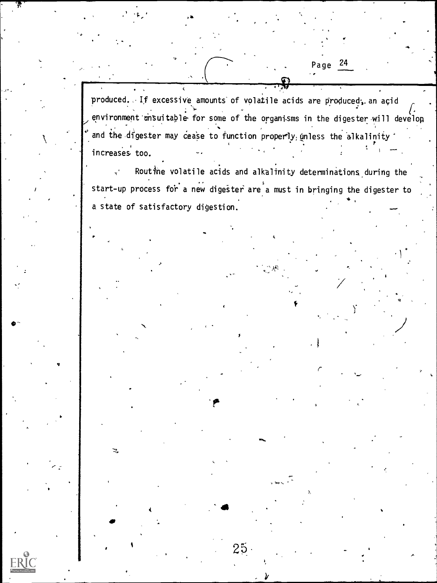produced. If excessive amounts of volatile acids are produced, an acid environment unsuitable for some of the organisms in the digester will develop  $^{\alpha}$  and the discreter may expect to function on and the digester may cease to function properly, unless the alkalinity  $\sim$ increase& too.

Rout ine volatile acids and alkalinity determinations during the start-up process for a new digester are a must in bringing the digester to  $\bullet$  , where  $\bullet$ a state of satisfactory digestion.

 $25\,$ 

 $\mathbf{y} = \mathbf{y}$ 

v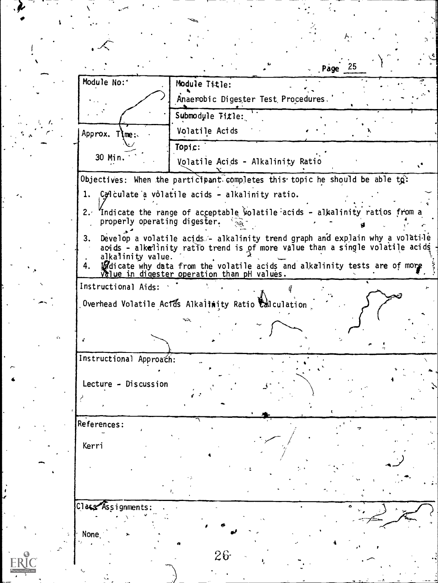Page 25 Module No:\* Module Title: Anaerobic Digester Test Procedures. Submodule Fixle: Volatile Acids Approx. Time: Topic: 30 Min. Volatile Acids - Alkalinity Ratio Objectives: When the participant completes this topic he should be able to:  $1.$ Calculate a volatile acids - alkalinity ratio. 'Indicate the range of acceptable volatile acids - alkalinity ratios from  $2.1$ properly operating digester. Develop a volatile acids - alkalinity trend graph and explain why a volatile  $3.$ acids - alkalinity ratio trend is of more value than a single volatile acids alkalinity value. Whicate why data from the volatile acids and alkalinity tests are of more 4. ye in digester operation than pH values. Instructional Aids: Overhead Volatile Actos Alkalinity Ratio talculation Instructional Approach: Lecture - Discussion **References:** Kerri Class Assignments: **None** 26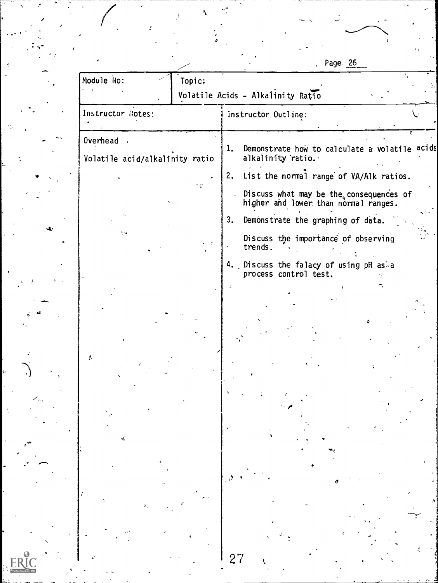$Page. 26$ 

| Module No:                                 | Topic:                            |    |                                                                                                                         |  |                                     |  |
|--------------------------------------------|-----------------------------------|----|-------------------------------------------------------------------------------------------------------------------------|--|-------------------------------------|--|
|                                            | Volatile Acids - Alkalinity Ratio |    |                                                                                                                         |  |                                     |  |
| Instructor Hotes:                          |                                   |    | instructor Outline:                                                                                                     |  |                                     |  |
| Overhead<br>Volatile acid/alkalinity ratio |                                   | 1. | Demonstrate how to calculate a volatile acids<br>alkalinity ratio.                                                      |  |                                     |  |
|                                            |                                   | 2. | List the normal range of VA/Alk ratios.<br>Discuss what may be the consequences of higher and lower than normal ranges. |  |                                     |  |
|                                            |                                   | 3. | Demonstrate the graphing of data.                                                                                       |  |                                     |  |
| t, sa                                      |                                   |    | trends.                                                                                                                 |  | Discuss the importance of observing |  |
|                                            |                                   |    | 4. Discuss the falacy of using pH as a<br>process control test.                                                         |  |                                     |  |
|                                            |                                   |    |                                                                                                                         |  |                                     |  |
|                                            |                                   |    |                                                                                                                         |  |                                     |  |
| ¢,                                         |                                   |    |                                                                                                                         |  |                                     |  |
|                                            |                                   |    |                                                                                                                         |  |                                     |  |
|                                            |                                   |    |                                                                                                                         |  |                                     |  |
|                                            |                                   |    |                                                                                                                         |  |                                     |  |
|                                            |                                   |    |                                                                                                                         |  |                                     |  |
|                                            |                                   |    |                                                                                                                         |  |                                     |  |

ti

 $\mathbf{a}$ 

 $\overline{\phantom{a}}$  :

 $\mathcal{L}$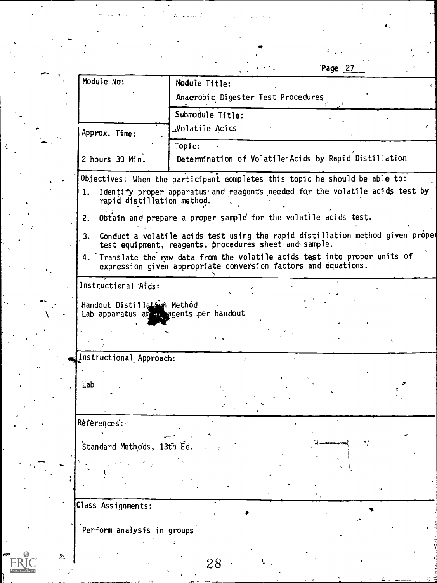|                                                                                                                                                                                                            |                                                                                                                                                                                                                                                                                                                                                               | Page 27 |  |
|------------------------------------------------------------------------------------------------------------------------------------------------------------------------------------------------------------|---------------------------------------------------------------------------------------------------------------------------------------------------------------------------------------------------------------------------------------------------------------------------------------------------------------------------------------------------------------|---------|--|
| Module No:                                                                                                                                                                                                 | Module Title:                                                                                                                                                                                                                                                                                                                                                 |         |  |
|                                                                                                                                                                                                            | Anaerobic Digester Test Procedures                                                                                                                                                                                                                                                                                                                            |         |  |
|                                                                                                                                                                                                            | Submodule Title:                                                                                                                                                                                                                                                                                                                                              |         |  |
| Approx. Time:                                                                                                                                                                                              | _Volatile Acids                                                                                                                                                                                                                                                                                                                                               |         |  |
|                                                                                                                                                                                                            | Topic:                                                                                                                                                                                                                                                                                                                                                        |         |  |
| 2 hours 30 Min.                                                                                                                                                                                            | Determination of Volatile Acids by Rapid Distillation                                                                                                                                                                                                                                                                                                         |         |  |
| Objectives: When the participant completes this topic he should be able to:<br>1.<br>rapid distillation method.<br>2.<br>3.<br>4. Translate the raw data from the volatile acids test into proper units of | Identify proper apparatus and reagents needed for the volatile acids test by<br>Obtain and prepare a proper sample for the volatile acids test.<br>Conduct a volatile acids test using the rapid distillation method given proper<br>test equipment, reagents, procedures sheet and sample.<br>expression given appropriate conversion factors and equations. |         |  |
| Instructional Aids:                                                                                                                                                                                        |                                                                                                                                                                                                                                                                                                                                                               |         |  |
| Handout Distillation Method<br>Lab apparatus an agents per handout                                                                                                                                         |                                                                                                                                                                                                                                                                                                                                                               |         |  |
|                                                                                                                                                                                                            |                                                                                                                                                                                                                                                                                                                                                               |         |  |
| Instructional Approach:                                                                                                                                                                                    |                                                                                                                                                                                                                                                                                                                                                               |         |  |
| Lab                                                                                                                                                                                                        |                                                                                                                                                                                                                                                                                                                                                               |         |  |
| References:                                                                                                                                                                                                |                                                                                                                                                                                                                                                                                                                                                               |         |  |
|                                                                                                                                                                                                            |                                                                                                                                                                                                                                                                                                                                                               |         |  |
| Standard Methods, 13th Ed.                                                                                                                                                                                 |                                                                                                                                                                                                                                                                                                                                                               |         |  |
|                                                                                                                                                                                                            |                                                                                                                                                                                                                                                                                                                                                               |         |  |
|                                                                                                                                                                                                            |                                                                                                                                                                                                                                                                                                                                                               |         |  |
| Class Assignments:                                                                                                                                                                                         |                                                                                                                                                                                                                                                                                                                                                               |         |  |
| Perform analysis in groups                                                                                                                                                                                 | 28                                                                                                                                                                                                                                                                                                                                                            |         |  |

Vt.

28

 $\begin{array}{c} \displaystyle \mathop{\mathbf{FRU}}\limits_{\mathcal{F}_{\text{full last Provided by EHC}}} \end{array}$ 

释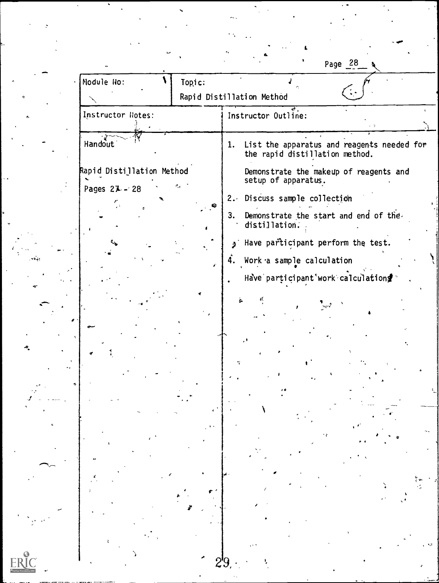| Module No:                | Topic: | Rapid Distillation Method                                                          |  |  |  |  |  |
|---------------------------|--------|------------------------------------------------------------------------------------|--|--|--|--|--|
| Instructor Hotes:         |        | Instructor Outline:                                                                |  |  |  |  |  |
| Handout                   |        | List the apparatus and reagents needed for<br>1.<br>the rapid distillation method. |  |  |  |  |  |
| Rapid Distillation Method | ب ج    | Demonstrate the makeup of reagents and<br>setup of apparatus.                      |  |  |  |  |  |
| Pages $2\lambda - 28$     |        | 2. Discuss sample collection                                                       |  |  |  |  |  |
|                           |        | Demonstrate the start and end of the<br>3.<br>distillation.                        |  |  |  |  |  |
|                           |        | . Have participant perform the test.                                               |  |  |  |  |  |
|                           |        | 4.                                                                                 |  |  |  |  |  |
|                           |        | Work a sample calculation                                                          |  |  |  |  |  |
|                           |        | Have participant work calculations                                                 |  |  |  |  |  |
|                           |        |                                                                                    |  |  |  |  |  |
|                           |        |                                                                                    |  |  |  |  |  |
|                           |        |                                                                                    |  |  |  |  |  |
|                           |        |                                                                                    |  |  |  |  |  |
|                           |        |                                                                                    |  |  |  |  |  |
|                           |        |                                                                                    |  |  |  |  |  |
|                           |        |                                                                                    |  |  |  |  |  |
|                           |        |                                                                                    |  |  |  |  |  |
|                           |        |                                                                                    |  |  |  |  |  |
|                           |        |                                                                                    |  |  |  |  |  |
|                           |        |                                                                                    |  |  |  |  |  |
|                           |        |                                                                                    |  |  |  |  |  |
|                           |        |                                                                                    |  |  |  |  |  |
|                           |        |                                                                                    |  |  |  |  |  |
|                           |        |                                                                                    |  |  |  |  |  |
|                           |        |                                                                                    |  |  |  |  |  |
|                           |        |                                                                                    |  |  |  |  |  |
|                           |        |                                                                                    |  |  |  |  |  |

 $ERIC$ 

t,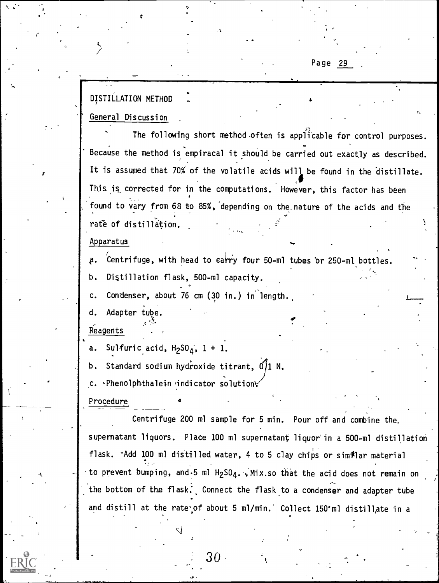$t = \sqrt{1 - t}$ 

## DISTILLATION METHOD

General Discussion .

The following short method often is applicable for control purposes. Because the method is empiracal it should be carried out exactly as described. It is assumed that 70%.of the volatile acids will be found in the distillate. # inis is corrected for in the computations. However, this factor has been found to vary from 68 to 85%, depending on the\_ nature of the acids and the rate of distillation.

 $\bullet$   $\bullet$ 

## Apparatus

Centrifuge, with head to  $\epsilon$ arry four 50-ml tubes or 250-ml bottles. a.

b. Distillation flask, 500-m1 capacity.

c. Condenser, about 76 cm (30 in.) in length.

d. Adapter tube.

Reagents

a. Sulfuric acid,  $H_2SO_{d}$ , 1 + 1.

b. Standard sodium hydroxide titrant,  $0/1$  N.

,c. Phenolphthalein indicator solution'

Procedure

Centrifuge 200 ml sample for 5 min. Pour off and combine the. supernatant liquors. Place 100 ml supernatant liquor in a 500-ml distillation flask. Add 100 ml distilled water, 4 to 5 clay chips or sim flar material to prevent bumping, and-5 ml H<sub>2</sub>SO<sub>4</sub>.  $\sqrt{M}$ ix.so that the acid does not remain on the bottom of the flask. Connect the flask to a condenser and adapter tube and distill at the rate of about 5 ml/min. Collect 150°ml distillate in a

 $30$  and  $\sim$  . The set of  $\sim$  ,  $\sim$  ,  $\sim$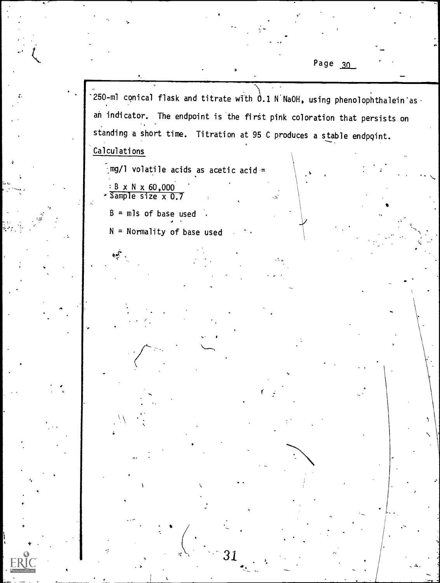$-250$ -ml conical flask and titrate with  $0.1$  N NaOH, using phenolophthalein as an indicator. The endpoint is the first pink coloration that persists on standing a short time. Titration at 95 C produces a stable endpoint. Calculations  $\frac{1}{2}$  mg/l volatile acids as acetic acid =  $\frac{1}{2}$  B X N X 60,000  $\text{Sample}\ \text{size}\ \text{X}\ \text{U.7}$  $B = mls$  of base used N = Normality of base used  $\downarrow$ 

 $\sim$   $\sim$ 

31

جمود

tr.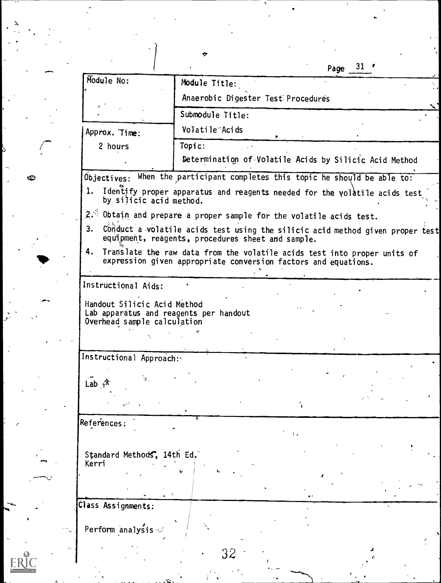|                                                                                                         |                  |                                    | Page | 31 <sup>1</sup>                                                 |  |
|---------------------------------------------------------------------------------------------------------|------------------|------------------------------------|------|-----------------------------------------------------------------|--|
| Module No:                                                                                              | Module Title:    |                                    |      |                                                                 |  |
|                                                                                                         |                  | Anaerobic Digester Test Procedures |      |                                                                 |  |
|                                                                                                         | Submodule Title: |                                    |      |                                                                 |  |
|                                                                                                         | Volatile Acids   |                                    |      |                                                                 |  |
| Approx. Time:                                                                                           |                  |                                    |      |                                                                 |  |
| 2 hours                                                                                                 | Topic:           |                                    |      |                                                                 |  |
|                                                                                                         |                  |                                    |      | Betermination of Volatile Acids by Silicic Acid Method          |  |
| Objectives:                                                                                             |                  |                                    |      | When the participant completes this topic he should be able to: |  |
| 1. Identify proper apparatus and reagents needed for the volatile acids test<br>by silicic acid method. |                  |                                    |      |                                                                 |  |
| 2.<br>Obtain and prepare a proper sample for the volatile acids test.                                   |                  |                                    |      |                                                                 |  |
| 3.<br>Conduct a volatile acids test using the silicic acid method given proper test                     |                  |                                    |      |                                                                 |  |
| equipment, reagents, procedures sheet and sample.                                                       |                  |                                    |      |                                                                 |  |
| 4.<br>Translate the raw data from the volatile acids test into proper units of                          |                  |                                    |      |                                                                 |  |
| expression given appropriate conversion factors and equations.                                          |                  |                                    |      |                                                                 |  |
| Instructional Aids:                                                                                     |                  |                                    |      |                                                                 |  |
|                                                                                                         |                  |                                    |      |                                                                 |  |
| Handout Silicic Acid Method                                                                             |                  |                                    |      |                                                                 |  |
| Lab apparatus and reagents per handout<br>Overhead sample calculation                                   |                  |                                    |      |                                                                 |  |
|                                                                                                         |                  |                                    |      |                                                                 |  |
|                                                                                                         |                  |                                    |      |                                                                 |  |
| Instructional Approach:                                                                                 |                  |                                    |      |                                                                 |  |
|                                                                                                         |                  |                                    |      |                                                                 |  |
| Lab s <sup>2</sup>                                                                                      |                  |                                    |      |                                                                 |  |
|                                                                                                         |                  |                                    |      |                                                                 |  |
| References:                                                                                             |                  |                                    |      |                                                                 |  |
|                                                                                                         |                  |                                    |      |                                                                 |  |
|                                                                                                         |                  |                                    |      |                                                                 |  |
|                                                                                                         |                  |                                    |      |                                                                 |  |
| Standard Methods, 14th Ed.<br>Kerri                                                                     |                  |                                    |      |                                                                 |  |
|                                                                                                         |                  |                                    |      |                                                                 |  |
|                                                                                                         |                  |                                    |      |                                                                 |  |
| Class Assignments:                                                                                      |                  |                                    |      |                                                                 |  |
| Perform analysis                                                                                        |                  |                                    |      |                                                                 |  |

 $\oplus$ 

ERIC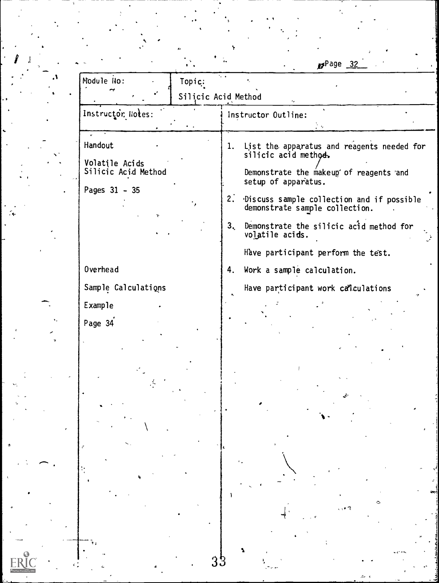|                                       | $\ddot{\phantom{1}}$ | $\mathbf{B}^{\text{Page}}$ 32                                                               |
|---------------------------------------|----------------------|---------------------------------------------------------------------------------------------|
| Module No:                            | Topic:               | $\sim$ $\sim$                                                                               |
|                                       |                      | Silicic Acid Method                                                                         |
| Instructor liotes:                    |                      | instructor Outline:                                                                         |
|                                       |                      |                                                                                             |
| Handout                               |                      | List the apparatus and reagents needed for<br>1.<br>silicic acid method.                    |
| Volatile Acids<br>Silicic Acid Method |                      | Demonstrate the makeup of reagents and<br>setup of apparatus.                               |
| Pages 31 - 35                         |                      | $2^{\cdot}$<br>Discuss sample collection and if possible                                    |
|                                       |                      | demonstrate sample collection.<br>3 <sub>1</sub><br>Demonstrate the silicic acid method for |
|                                       |                      | volatile acids.                                                                             |
|                                       |                      | Have participant perform the test.                                                          |
| Overhead                              |                      | 4.<br>Work a sample calculation.                                                            |
| Sample Calculations                   |                      | Have participant work calculations                                                          |
| Example                               |                      |                                                                                             |
| Page 34                               |                      |                                                                                             |
|                                       |                      |                                                                                             |
|                                       |                      |                                                                                             |
|                                       |                      |                                                                                             |
|                                       |                      |                                                                                             |
|                                       |                      |                                                                                             |
|                                       |                      |                                                                                             |
|                                       |                      |                                                                                             |
|                                       |                      |                                                                                             |
|                                       |                      |                                                                                             |
|                                       |                      |                                                                                             |
|                                       |                      |                                                                                             |
|                                       |                      |                                                                                             |
|                                       |                      |                                                                                             |

ER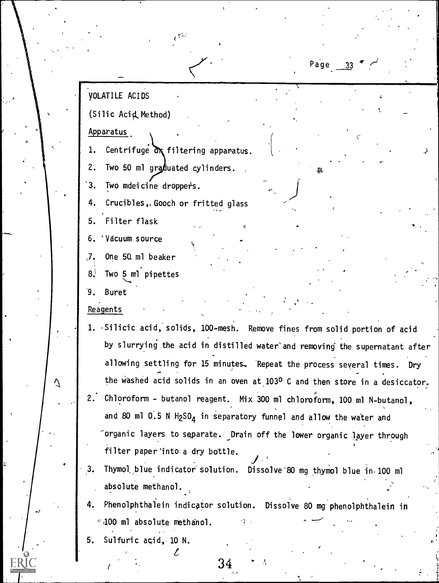VOLATILE ACIDS

(Silic Acid,Method)

Apparatus

1. Centrifuge on filtering apparatus.

2. Two 50 ml graduated cylinders.

3. Two mdeicine droppers.

4. Crucibles,. Gooch or fritted glass

4,

5. Filter flask

6. 'Vacuum source

7. One 50. ml beaker

 $8.$  Two 5 ml pipettes

'9. Buret

Reagents

 $\Delta$ 

1. -Silicic acid, solids, 100-mesh. Remove fines from solid portion of acid by slurrying the acid in distilled water' and removing the supernatant after allowing settling for 15 minutes. Repeat the process several times. Dry the Washed acid solids in an oven at 1030 C and then store in a desiccator.

Page  $33$ 

-t

- 2. Chloroform butanol reagent. Mix 300 ml chloroform, 100 ml N-butanol, and 80 ml  $0.5$  N H<sub>2</sub>SO<sub>4</sub> in separatory funnel and allow the water and "organic layers to separate. \_Drain off the lower organic layer through filter paper 'into a dry bottle.
- 3. Thymol\_blue indicator solution. Dissolve-80 mg thymol blue in-100 ml absolute methanol.
- 4. Phenolphthalein indicator solution. Dissolve 80 mg phenolphthalein in o 100 ml absolute methanol.

Sulfuric acid, 10 N.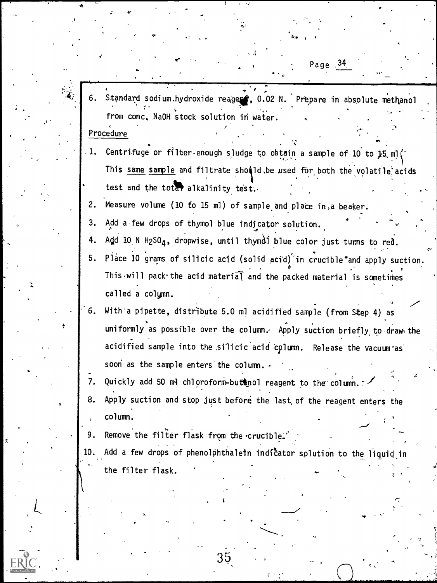Page .34.

- If  $\mathcal{F}_1$  is a subset of  $\mathcal{F}_2$  is a subset of  $\mathcal{F}_3$  is a subset of  $\mathcal{F}_4$  is a subset of  $\mathcal{F}_5$  is a subset of  $\mathcal{F}_6$  is a subset of  $\mathcal{F}_6$  is a subset of  $\mathcal{F}_7$  is a subset of  $\mathcal{F}_8$  is a sub . Standard sodium.hydroxide reagen, 0.02 N. Prepare in absolute methanol  $\,$  ,  $\,$ .. -,. from conc, NaOH stock solution iri water. ., Procedure
- 1. Centrifuge or filter enough sludge to obtain a sample of 10 to  $\cancel{15}$ , mls This same sample and filtrate should, be used for both the volatile acids test and the total alkalinity test.
- 2. Measure volume (10 to 15 ml) of sample and place in a beaker.
- 3. Add a few drops of thymol blue indicator solution.

**Service** Construction

- 4. Add 10 N H<sub>2</sub>SO<sub>4</sub>, dropwise, until thymol blue color just turns to red.
- 5. Place 10 grams of silicic acid (solid acid) in crucible and apply suction. This will pack the acid material and the packed material is sometimes 1 called a column.
	- . With'a pipette, distribute 5.0 ml acidified sample (from Step 4) as uniformly as possible over the column. Apply suction briefly to draw the acidified sample into the silicic acid column. Release the vacuum as soon as the sample enters the column.
	- 7. Quickly add 50 ml chloroform-buttinol reagent to the column.

35

- 8. Apply suction and stop just before the last of the reagent enters the column.
- 9. Remove the filter flask from the crucible.

 $\ddot{\phantom{0}}$ 

10. Add a few drops of phenolphthalein indicator solution to the liquid in the filter flask.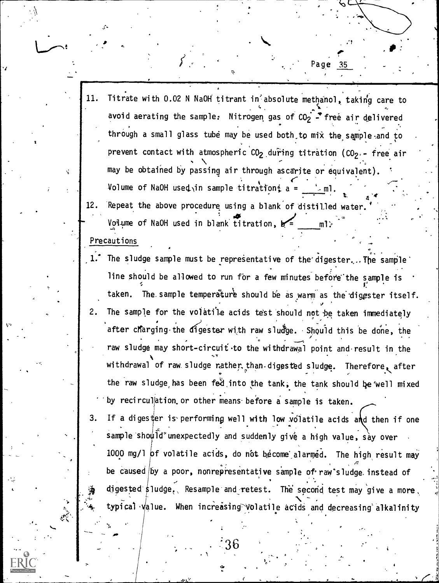Titrate with 0.02 N NaOH titrant in absolute methanol, taking care to 11. avoid aerating the sample: Nitrogen gas of CO<sub>2</sub> = free air delivered through a small glass tube may be used both to mix the sample and to prevent contact with atmospheric  $CO_2$  during titration ( $CO_2$  - free air may be obtained by passing air through ascarite or equivalent). Volume of NaOH used in sample titrations a Repeat the above procedure using a blank of distilled water.  $12.$ 

age

Volume of NaOH used in blank titration, b  $m$ }

# Precautions

- 1. The sludge sample must be representative of the digester... The sample line should be allowed to run for a few minutes before the sample is taken. The sample temperature should be as warm as the diggster itself.
- The sample for the volatile acids test should not be taken immediately  $2.$ after charging the digester with raw sludge. Should this be done, the raw sludge may short-circuit to the withdrawal point and result in the withdrawal of raw sludge rather than digested sludge. Therefore, after the raw sludge has been fed into the tank, the tank should be well mixed by recirculation or other means before a sample is taken.
- If a digester is performing well with low volatile acids and then if one 3. sample showld<sup>2</sup> unexpectedly and suddenly give a high value, say over 1000 mg/l of volatile acids, do not bécome alarmed. The high result may be caused by a poor, nonrepresentative sample of raw sludge instead of digested sludge. Resample and retest. The second test may give a more. typical value. When increasing volatile acids and decreasing alkalinity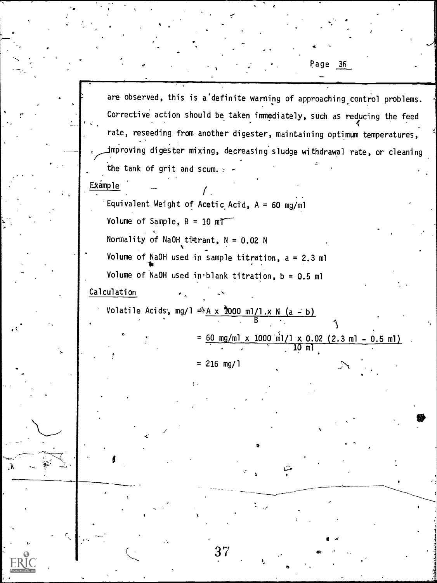

 $37$  and  $37$ 

f..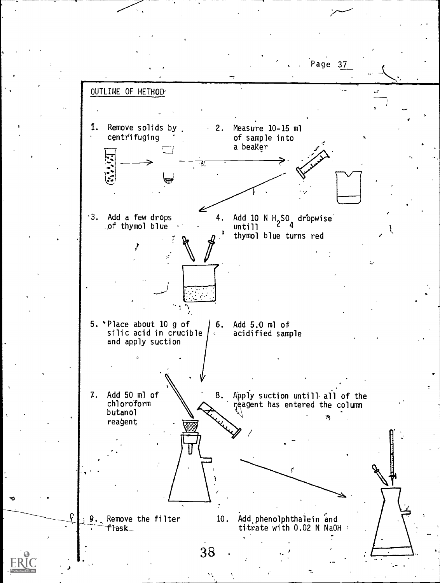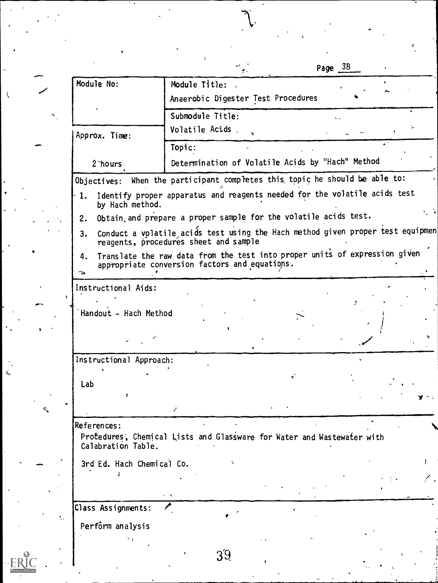|                                                                                                             |                                                                                                                             | Page 38 |    |
|-------------------------------------------------------------------------------------------------------------|-----------------------------------------------------------------------------------------------------------------------------|---------|----|
| Module No:                                                                                                  | Module Title: .                                                                                                             |         |    |
|                                                                                                             | Anaerobic Digester Test Procedures                                                                                          |         |    |
|                                                                                                             | Submodule Title:                                                                                                            |         |    |
| Approx. Time:                                                                                               | Volatile Acids,                                                                                                             |         |    |
|                                                                                                             | Topic:                                                                                                                      |         |    |
| $2$ hours                                                                                                   | Determination of Volatile Acids by "Hach" Method                                                                            |         |    |
| Objectives: When the participant completes this topic he should be able to:                                 |                                                                                                                             |         |    |
| 1.<br>by Hach method.                                                                                       | Identify proper apparatus and reagents needed for the volatile acids test                                                   |         |    |
| 2.                                                                                                          | Obtain and prepare a proper sample for the volatile acids test.                                                             |         | ্ত |
| 3.                                                                                                          | Conduct a volatile acids test using the Hach method given proper test equipmen<br>reagents, procedures sheet and sample     |         |    |
| 4.                                                                                                          | Translate the raw data from the test into proper units of expression given<br>appropriate conversion factors and equations. |         |    |
| Instructional Aids:                                                                                         |                                                                                                                             |         |    |
| Handout - Hach Method                                                                                       |                                                                                                                             |         |    |
|                                                                                                             |                                                                                                                             |         |    |
| Instructional Approach:                                                                                     |                                                                                                                             |         |    |
|                                                                                                             |                                                                                                                             |         |    |
| Lab                                                                                                         |                                                                                                                             |         |    |
|                                                                                                             | ¥.                                                                                                                          |         |    |
| References:<br>Procedures, Chemical Lists and Glassware for Water and Wastewater with<br>Calabration Table. |                                                                                                                             |         |    |
| 3rd Ed. Hach Chemical Co.                                                                                   |                                                                                                                             |         |    |
|                                                                                                             |                                                                                                                             |         |    |
|                                                                                                             | $\mathbf{v} = \mathbf{v}_0$                                                                                                 |         |    |
| Class Assignments:                                                                                          |                                                                                                                             |         |    |
| Perform analysis                                                                                            |                                                                                                                             |         |    |
| ، ڊ                                                                                                         |                                                                                                                             |         |    |
|                                                                                                             | 39                                                                                                                          |         |    |
|                                                                                                             |                                                                                                                             |         |    |

 $\sum_{i=1}^{n}$ 

 $\langle$ 

 $\hat{\mathbf{x}}_i$ 

 $ER$ 

 $\frac{1}{\log ERC}$ 

 $c_{\rm in}$ 

 $\hat{\mathbf{r}}$  ,

Þ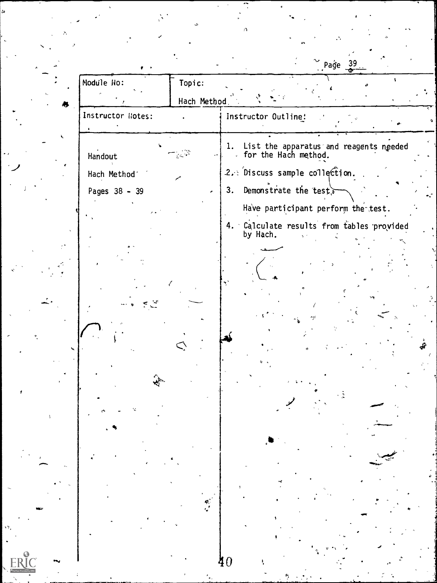|                   |              | Page $\frac{39}{2}$                                               |
|-------------------|--------------|-------------------------------------------------------------------|
| Module Ho:        | Topic:       |                                                                   |
|                   | Hach Method. |                                                                   |
| Instructor Hotes: |              | Instructor Outline:                                               |
| Handout           |              | 1. List the apparatus and reagents needed<br>for the Hach method. |
| Hach Method'      |              | 2. Discuss sample collection.                                     |
| Pages 38 - 39     |              | 3. Demonstrate the test,                                          |
|                   |              | Have participant perform the test.                                |
|                   |              | 4. Calculate results from tables provided<br>by Hach.             |
|                   |              |                                                                   |
|                   |              |                                                                   |
|                   |              | ۹Ņ                                                                |
|                   |              |                                                                   |
|                   |              |                                                                   |
|                   |              |                                                                   |
|                   |              |                                                                   |
|                   |              |                                                                   |
|                   |              |                                                                   |
|                   |              |                                                                   |
|                   |              |                                                                   |
|                   |              |                                                                   |
|                   |              |                                                                   |
|                   |              |                                                                   |
|                   |              |                                                                   |
|                   |              |                                                                   |
|                   |              |                                                                   |
|                   |              |                                                                   |
|                   |              |                                                                   |
|                   |              |                                                                   |
|                   |              |                                                                   |

E

÷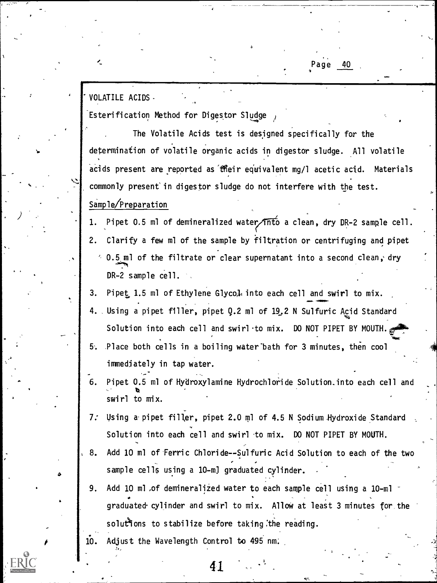VOLATILE ACIDS .

Esterification Method for Digestor Sludge

The Volatile Acids test is designed specifically for the determination of volatile organic acids in digestor sludge. All volatile acids present are reported as fieir equivalent mg/l acetic acid. Materials commonly present in digestor sludge do not interfere with the test.

Page 40

# Sample/Preparation

1. Pipet 0.5 ml of demineralized water into a clean, dry DR-2 sample cell.

- 2. Clarify a few ml of the sample by filtration or centrifuging and pipet  $\leq 0.5$  ml of the filtrate or clear supernatant into a second clean, dry DR-2 sample cell.
- 3. Pipet 1.5 ml of Ethylene Glycol into each cell and swirl to mix.
- 4. Using a pipet filler, pipet Q.2 ml of 19.2 N Sulfuric Acid Standard Solution into each cell and swirl to mix. DO NOT PIPET BY MOUTH.
- 5. Place both cells in a boiling water bath for 3 minutes, then cool immediately in tap water.
- 6. Pipet 0.5 ml of Hydroxylamine Hydrochloride Solution.into each cell and swirl to mix.
- 7: Using a pipet filler, pipet 2.0 ml of 4.5 N Sodium Hydroxide Standard Solution into each cell and swirl to mix. DO NOT PIPET BY MOUTH.
- $\circ$  1 8. Add 10 ml of Ferric Chloride--Sulfuric Acid Solution to each of the two sample cells using a 10-ml graduated cylinder.
	- 9. Add 10 ml of demineralized water to each sample cell using a 10-ml graduated. cylinder and swirl to mix. Allow at least 3 minutes for the solutions to stabilize before taking the reading.

10. Adjust the Wavelength Control to 495 nm: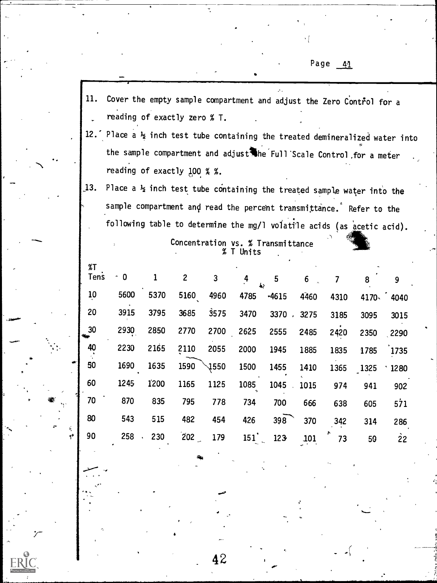$-$ (

11. Cover the empty sample compartment and adjust the Zero Control for a reading of exactly zero % T. 12. Place a  $\frac{1}{2}$  inch test tube containing the treated demineralized water into the sample compartment and adjustine-Full'Scale Control.for a meter reading of exactly 100 % %. 13. Place a  $1/2$  inch test tube containing the treated sample water into the sample compartment and read the percent transmittance.' Refer to the following table to determine the mg/l volatile acids (as acetic acid). Concentration vs. % Transmittance % T Units . %T Tens 0  $1$  2 3  $4$  5 6 7 8 7 8  $\mathcal{F}$ 4,? 10 5600 5370 5160 4960 4785 -4615 4460 4310 4170- 4040 20 <sup>3915</sup> 3795 3685 3575 3470 3370 . 3275 3185 3095 3015 30 2930 2850 2770 2700 2625 2555 2485 2420 2350 ,2290 **1030** 40 2230 2165 2110 2055 2000 1945 1885 1835 1785 1735 50 1690 1635 1590 1550 1500 1455 1410 1365 1365 1325 '1280 60 1245 1200 1165 1125 1085 1045 1015 974 941 902 <sup>70</sup> <sup>870</sup> 835 <sup>795</sup> 778 734 700 666 638 605 <sup>80</sup> <sup>543</sup> <sup>515</sup> <sup>482</sup> <sup>454</sup> <sup>426</sup> 398 <sup>370</sup> 342 314 286, 90 <sup>258</sup> 230 <sup>202</sup> <sup>179</sup> <sup>151</sup> 123. 101 73 50 22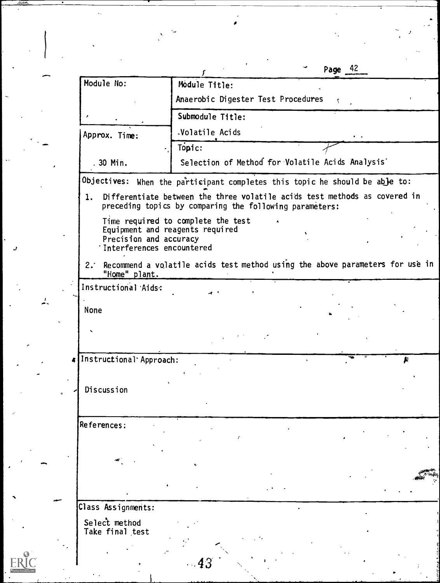| Module No:                                                                             |                                                                                                                                      | Page $42$    |  |
|----------------------------------------------------------------------------------------|--------------------------------------------------------------------------------------------------------------------------------------|--------------|--|
|                                                                                        | Module Title:                                                                                                                        |              |  |
|                                                                                        | Anaerobic Digester Test Procedures                                                                                                   | $\mathbf{r}$ |  |
|                                                                                        | Submodule Title:                                                                                                                     |              |  |
| Approx. Time:                                                                          | Volatile Acids                                                                                                                       | $\bullet$ .  |  |
|                                                                                        | Topic:                                                                                                                               |              |  |
| . 30 Min.                                                                              | Selection of Method for Volatile Acids Analysis'                                                                                     |              |  |
| Objectives: When the participant completes this topic he should be able to:            |                                                                                                                                      |              |  |
| 1.                                                                                     | Differentiate between the three volatile acids test methods as covered in<br>preceding topics by comparing the following parameters: |              |  |
| Equipment and reagents required<br>Precision and accuracy<br>Interferences encountered | Time required to complete the test                                                                                                   |              |  |
| 2.1<br>"Home" plant.                                                                   | Recommend a volatile acids test method using the above parameters for use in                                                         |              |  |
| Instructional Aids:                                                                    |                                                                                                                                      |              |  |
| <b>None</b>                                                                            |                                                                                                                                      |              |  |
|                                                                                        |                                                                                                                                      |              |  |
|                                                                                        |                                                                                                                                      |              |  |
| * Instructional Approach:                                                              |                                                                                                                                      |              |  |
|                                                                                        |                                                                                                                                      |              |  |
| Discussion                                                                             |                                                                                                                                      |              |  |
|                                                                                        |                                                                                                                                      |              |  |
| References:                                                                            |                                                                                                                                      |              |  |
|                                                                                        |                                                                                                                                      |              |  |
|                                                                                        |                                                                                                                                      |              |  |
|                                                                                        |                                                                                                                                      |              |  |
|                                                                                        |                                                                                                                                      |              |  |
|                                                                                        |                                                                                                                                      |              |  |
| Class Assignments:                                                                     |                                                                                                                                      |              |  |
| Select method                                                                          |                                                                                                                                      |              |  |
| Take final test                                                                        |                                                                                                                                      |              |  |

J.

**ERI**